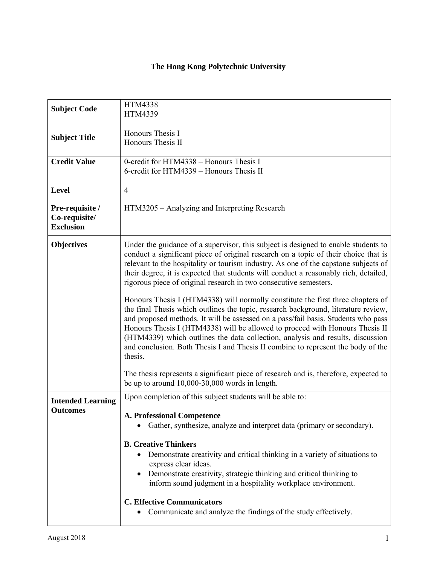## **The Hong Kong Polytechnic University**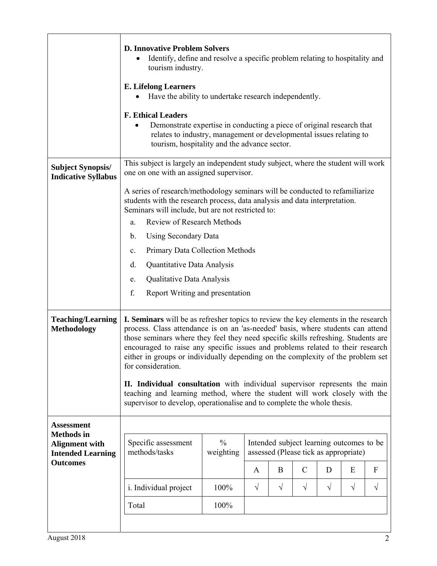|                                                                                                                | <b>D. Innovative Problem Solvers</b><br>Identify, define and resolve a specific problem relating to hospitality and<br>tourism industry.                                                                                                                                                                                                                                                                                                                                                                                                                                                                                                                                                     |      |              |            |               |           |           |           |
|----------------------------------------------------------------------------------------------------------------|----------------------------------------------------------------------------------------------------------------------------------------------------------------------------------------------------------------------------------------------------------------------------------------------------------------------------------------------------------------------------------------------------------------------------------------------------------------------------------------------------------------------------------------------------------------------------------------------------------------------------------------------------------------------------------------------|------|--------------|------------|---------------|-----------|-----------|-----------|
|                                                                                                                | <b>E.</b> Lifelong Learners<br>Have the ability to undertake research independently.                                                                                                                                                                                                                                                                                                                                                                                                                                                                                                                                                                                                         |      |              |            |               |           |           |           |
|                                                                                                                | <b>F. Ethical Leaders</b><br>Demonstrate expertise in conducting a piece of original research that<br>$\bullet$<br>relates to industry, management or developmental issues relating to<br>tourism, hospitality and the advance sector.                                                                                                                                                                                                                                                                                                                                                                                                                                                       |      |              |            |               |           |           |           |
| <b>Subject Synopsis/</b><br><b>Indicative Syllabus</b>                                                         | This subject is largely an independent study subject, where the student will work<br>one on one with an assigned supervisor.                                                                                                                                                                                                                                                                                                                                                                                                                                                                                                                                                                 |      |              |            |               |           |           |           |
|                                                                                                                | A series of research/methodology seminars will be conducted to refamiliarize<br>students with the research process, data analysis and data interpretation.<br>Seminars will include, but are not restricted to:                                                                                                                                                                                                                                                                                                                                                                                                                                                                              |      |              |            |               |           |           |           |
|                                                                                                                | Review of Research Methods<br>a.                                                                                                                                                                                                                                                                                                                                                                                                                                                                                                                                                                                                                                                             |      |              |            |               |           |           |           |
|                                                                                                                | Using Secondary Data<br>b.                                                                                                                                                                                                                                                                                                                                                                                                                                                                                                                                                                                                                                                                   |      |              |            |               |           |           |           |
|                                                                                                                | Primary Data Collection Methods<br>$\mathbf{c}.$                                                                                                                                                                                                                                                                                                                                                                                                                                                                                                                                                                                                                                             |      |              |            |               |           |           |           |
|                                                                                                                | d.<br>Quantitative Data Analysis                                                                                                                                                                                                                                                                                                                                                                                                                                                                                                                                                                                                                                                             |      |              |            |               |           |           |           |
|                                                                                                                | Qualitative Data Analysis<br>e.                                                                                                                                                                                                                                                                                                                                                                                                                                                                                                                                                                                                                                                              |      |              |            |               |           |           |           |
|                                                                                                                | f.<br>Report Writing and presentation                                                                                                                                                                                                                                                                                                                                                                                                                                                                                                                                                                                                                                                        |      |              |            |               |           |           |           |
| <b>Teaching/Learning</b><br><b>Methodology</b>                                                                 | I. Seminars will be as refresher topics to review the key elements in the research<br>process. Class attendance is on an 'as-needed' basis, where students can attend<br>those seminars where they feel they need specific skills refreshing. Students are<br>encouraged to raise any specific issues and problems related to their research<br>either in groups or individually depending on the complexity of the problem set<br>for consideration.<br>II. Individual consultation with individual supervisor represents the main<br>teaching and learning method, where the student will work closely with the<br>supervisor to develop, operationalise and to complete the whole thesis. |      |              |            |               |           |           |           |
| <b>Assessment</b><br><b>Methods</b> in<br><b>Alignment with</b><br><b>Intended Learning</b><br><b>Outcomes</b> | $\frac{0}{0}$<br>Intended subject learning outcomes to be<br>Specific assessment<br>methods/tasks<br>weighting<br>assessed (Please tick as appropriate)                                                                                                                                                                                                                                                                                                                                                                                                                                                                                                                                      |      |              |            |               |           |           |           |
|                                                                                                                |                                                                                                                                                                                                                                                                                                                                                                                                                                                                                                                                                                                                                                                                                              |      | $\mathbf{A}$ | B          | $\mathcal{C}$ | D         | E         | F         |
|                                                                                                                | <i>i</i> . Individual project                                                                                                                                                                                                                                                                                                                                                                                                                                                                                                                                                                                                                                                                | 100% | $\sqrt{}$    | $\sqrt{ }$ | $\sqrt{}$     | $\sqrt{}$ | $\sqrt{}$ | $\sqrt{}$ |
|                                                                                                                | Total                                                                                                                                                                                                                                                                                                                                                                                                                                                                                                                                                                                                                                                                                        | 100% |              |            |               |           |           |           |
|                                                                                                                |                                                                                                                                                                                                                                                                                                                                                                                                                                                                                                                                                                                                                                                                                              |      |              |            |               |           |           |           |